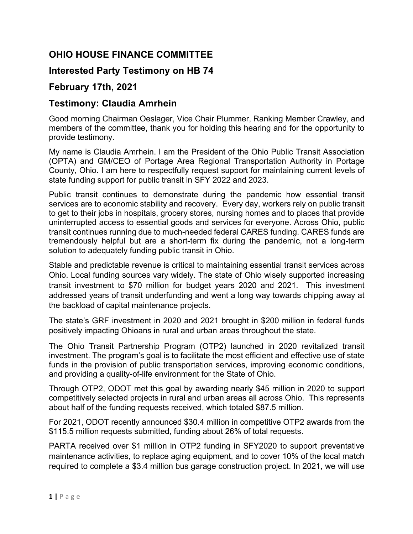## **OHIO HOUSE FINANCE COMMITTEE**

## **Interested Party Testimony on HB 74**

## **February 17th, 2021**

## **Testimony: Claudia Amrhein**

Good morning Chairman Oeslager, Vice Chair Plummer, Ranking Member Crawley, and members of the committee, thank you for holding this hearing and for the opportunity to provide testimony.

My name is Claudia Amrhein. I am the President of the Ohio Public Transit Association (OPTA) and GM/CEO of Portage Area Regional Transportation Authority in Portage County, Ohio. I am here to respectfully request support for maintaining current levels of state funding support for public transit in SFY 2022 and 2023.

Public transit continues to demonstrate during the pandemic how essential transit services are to economic stability and recovery. Every day, workers rely on public transit to get to their jobs in hospitals, grocery stores, nursing homes and to places that provide uninterrupted access to essential goods and services for everyone. Across Ohio, public transit continues running due to much-needed federal CARES funding. CARES funds are tremendously helpful but are a short-term fix during the pandemic, not a long-term solution to adequately funding public transit in Ohio.

Stable and predictable revenue is critical to maintaining essential transit services across Ohio. Local funding sources vary widely. The state of Ohio wisely supported increasing transit investment to \$70 million for budget years 2020 and 2021. This investment addressed years of transit underfunding and went a long way towards chipping away at the backload of capital maintenance projects.

The state's GRF investment in 2020 and 2021 brought in \$200 million in federal funds positively impacting Ohioans in rural and urban areas throughout the state.

The Ohio Transit Partnership Program (OTP2) launched in 2020 revitalized transit investment. The program's goal is to facilitate the most efficient and effective use of state funds in the provision of public transportation services, improving economic conditions, and providing a quality-of-life environment for the State of Ohio.

Through OTP2, ODOT met this goal by awarding nearly \$45 million in 2020 to support competitively selected projects in rural and urban areas all across Ohio. This represents about half of the funding requests received, which totaled \$87.5 million.

For 2021, ODOT recently announced \$30.4 million in competitive OTP2 awards from the \$115.5 million requests submitted, funding about 26% of total requests.

PARTA received over \$1 million in OTP2 funding in SFY2020 to support preventative maintenance activities, to replace aging equipment, and to cover 10% of the local match required to complete a \$3.4 million bus garage construction project. In 2021, we will use